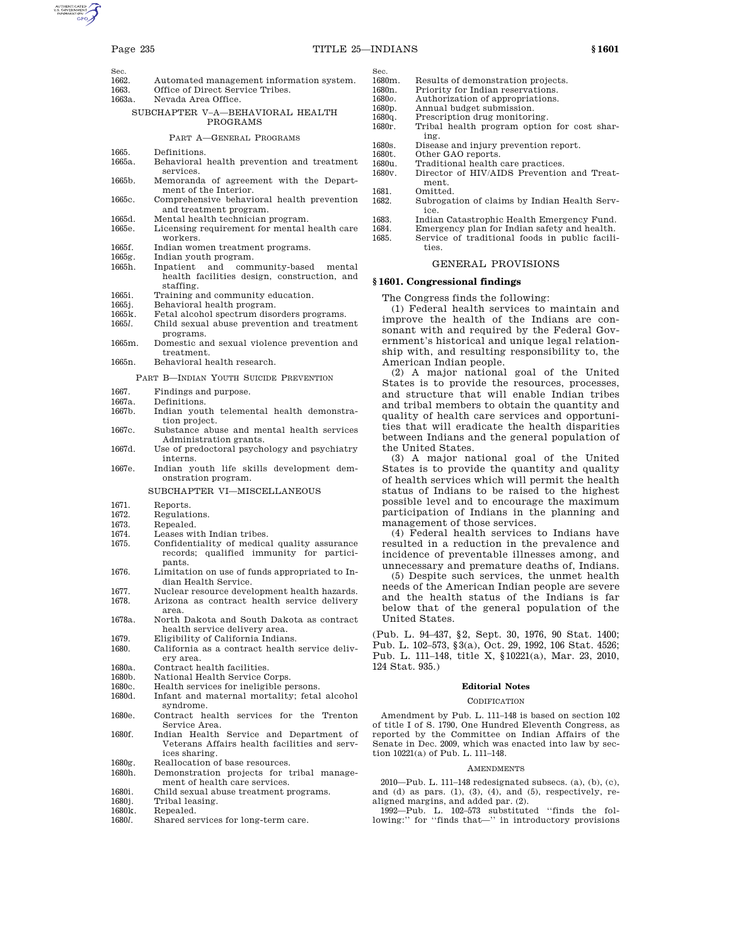- 
- Sec.<br>1662 1662. Automated management information system.<br>1663 Office of Direct Service Tribes
- Office of Direct Service Tribes.
- 1663a. Nevada Area Office.
	- SUBCHAPTER V–A—BEHAVIORAL HEALTH PROGRAMS

#### PART A—GENERAL PROGRAMS

- 
- 1665. Definitions. 1665a. Behavioral health prevention and treatment services.
- 1665b. Memoranda of agreement with the Department of the Interior.
- 1665c. Comprehensive behavioral health prevention and treatment program.
- 1665d. Mental health technician program.
- 1665e. Licensing requirement for mental health care workers.
- 1665f. Indian women treatment programs.
- 1665g. Indian youth program.
- 1665h. Inpatient and community-based mental health facilities design, construction, and staffing.
- 1665i. Training and community education.<br>1665j. Behavioral health program.
- 
- 1665j. Behavioral health program.<br>1665k. Fetal alcohol spectrum diso 1665k. Fetal alcohol spectrum disorders programs.<br>1665l. Child sexual abuse prevention and treatme
- 1665*l.* Child sexual abuse prevention and treatment programs.
- 1665m. Domestic and sexual violence prevention and treatment.
- 1665n. Behavioral health research.

PART B—INDIAN YOUTH SUICIDE PREVENTION

- 1667. Findings and purpose.
- 1667a. Definitions.
- 
- 1667b. Indian youth telemental health demonstration project.
- 1667c. Substance abuse and mental health services Administration grants. 1667d. Use of predoctoral psychology and psychiatry
- interns. 1667e. Indian youth life skills development dem
	- onstration program.

# SUBCHAPTER VI—MISCELLANEOUS

# 1671. Reports.

- 1672. Regulations.
- 1673. Repealed.
- 1674. Leases with Indian tribes.
- 1675. Confidentiality of medical quality assurance records; qualified immunity for participants.
- 1676. Limitation on use of funds appropriated to Indian Health Service.
- 1677. Nuclear resource development health hazards.
- 1678. Arizona as contract health service delivery area.
- 1678a. North Dakota and South Dakota as contract health service delivery area.
- 1679. Eligibility of California Indians.
- California as a contract health service delivery area.
- 1680a. Contract health facilities.<br>1680b. National Health Service C
- 1680b. National Health Service Corps.<br>1680c. Health services for ineligible pe
- 1680c. Health services for ineligible persons.<br>1680d. Infant and maternal mortality: feta.
- Infant and maternal mortality; fetal alcohol syndrome.
- 1680e. Contract health services for the Trenton Service Area.
- 1680f. Indian Health Service and Department of Veterans Affairs health facilities and services sharing.
- 1680g. Reallocation of base resources.
- 1680h. Demonstration projects for tribal management of health care services.
- 1680i. Child sexual abuse treatment programs.
- 1680j. Tribal leasing.
- 1680k. Repealed.<br>1680l. Shared set
- Shared services for long-term care.
- Sec.<br>1680m. 1680m. Results of demonstration projects.<br>1680n. Priority for Indian reservations.
- Priority for Indian reservations.
- 1680*o.* Authorization of appropriations.
- 1680p. Annual budget submission.<br>1680q. Prescription drug monitori
- 1680q. Prescription drug monitoring.<br>1680r. Tribal health program option
- Tribal health program option for cost sharing.
- 1680s. Disease and injury prevention report.<br>1680t. Other GAO reports.
- 1680t. Other GAO reports.<br>1680u. Traditional health
- 1680u. Traditional health care practices.<br>1680v. Director of HIV/AIDS Prevention Director of HIV/AIDS Prevention and Treatment.
- 1681. Omitted.<br>1682. Subroga
- Subrogation of claims by Indian Health Service.
- 1683. Indian Catastrophic Health Emergency Fund.
- Emergency plan for Indian safety and health.
- 1685. Service of traditional foods in public facilities.

#### GENERAL PROVISIONS

## **§ 1601. Congressional findings**

The Congress finds the following:

(1) Federal health services to maintain and improve the health of the Indians are consonant with and required by the Federal Government's historical and unique legal relationship with, and resulting responsibility to, the American Indian people.

(2) A major national goal of the United States is to provide the resources, processes, and structure that will enable Indian tribes and tribal members to obtain the quantity and quality of health care services and opportunities that will eradicate the health disparities between Indians and the general population of the United States.

(3) A major national goal of the United States is to provide the quantity and quality of health services which will permit the health status of Indians to be raised to the highest possible level and to encourage the maximum participation of Indians in the planning and management of those services.

(4) Federal health services to Indians have resulted in a reduction in the prevalence and incidence of preventable illnesses among, and unnecessary and premature deaths of, Indians.

(5) Despite such services, the unmet health needs of the American Indian people are severe and the health status of the Indians is far below that of the general population of the United States.

(Pub. L. 94–437, §2, Sept. 30, 1976, 90 Stat. 1400; Pub. L. 102–573, §3(a), Oct. 29, 1992, 106 Stat. 4526; Pub. L. 111–148, title X, §10221(a), Mar. 23, 2010, 124 Stat. 935.)

#### **Editorial Notes**

#### CODIFICATION

Amendment by Pub. L. 111–148 is based on section 102 of title I of S. 1790, One Hundred Eleventh Congress, as reported by the Committee on Indian Affairs of the Senate in Dec. 2009, which was enacted into law by section 10221(a) of Pub. L. 111–148.

#### **AMENDMENTS**

2010—Pub. L. 111–148 redesignated subsecs. (a), (b), (c), and (d) as pars.  $(1)$ ,  $(3)$ ,  $(4)$ , and  $(5)$ , respectively, re-

aligned margins, and added par. (2). 1992—Pub. L. 102–573 substituted ''finds the following:'' for ''finds that—'' in introductory provisions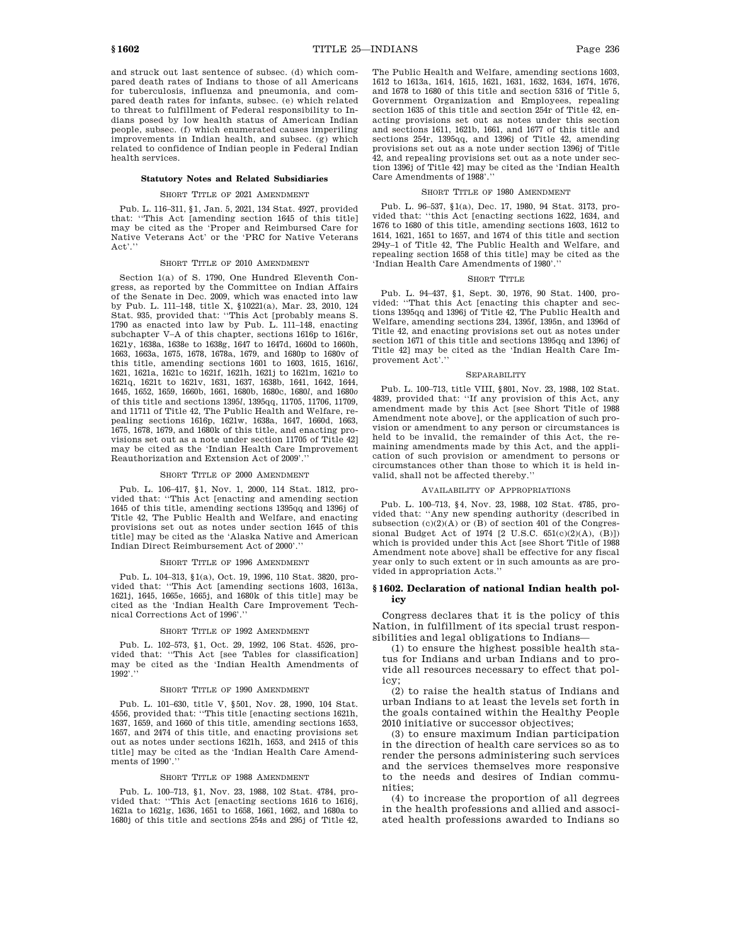and struck out last sentence of subsec. (d) which compared death rates of Indians to those of all Americans for tuberculosis, influenza and pneumonia, and compared death rates for infants, subsec. (e) which related to threat to fulfillment of Federal responsibility to Indians posed by low health status of American Indian people, subsec. (f) which enumerated causes imperiling improvements in Indian health, and subsec. (g) which related to confidence of Indian people in Federal Indian health services.

#### **Statutory Notes and Related Subsidiaries**

## SHORT TITLE OF 2021 AMENDMENT

Pub. L. 116–311, §1, Jan. 5, 2021, 134 Stat. 4927, provided that: ''This Act [amending section 1645 of this title] may be cited as the 'Proper and Reimbursed Care for Native Veterans Act' or the 'PRC for Native Veterans Act.'

### SHORT TITLE OF 2010 AMENDMENT

Section 1(a) of S. 1790, One Hundred Eleventh Congress, as reported by the Committee on Indian Affairs of the Senate in Dec. 2009, which was enacted into law by Pub. L. 111–148, title X, §10221(a), Mar. 23, 2010, 124 Stat. 935, provided that: ''This Act [probably means S. 1790 as enacted into law by Pub. L. 111–148, enacting subchapter V–A of this chapter, sections 1616p to 1616r, 1621y, 1638a, 1638e to 1638g, 1647 to 1647d, 1660d to 1660h, 1663, 1663a, 1675, 1678, 1678a, 1679, and 1680p to 1680v of this title, amending sections 1601 to 1603, 1615, 1616*l*, 1621, 1621a, 1621c to 1621f, 1621h, 1621j to 1621m, 1621*o* to 1621q, 1621t to 1621v, 1631, 1637, 1638b, 1641, 1642, 1644, 1645, 1652, 1659, 1660b, 1661, 1680b, 1680c, 1680*l*, and 1680*o* of this title and sections 1395*l*, 1395qq, 11705, 11706, 11709, and 11711 of Title 42, The Public Health and Welfare, repealing sections 1616p, 1621w, 1638a, 1647, 1660d, 1663, 1675, 1678, 1679, and 1680k of this title, and enacting provisions set out as a note under section 11705 of Title 42] may be cited as the 'Indian Health Care Improvement Reauthorization and Extension Act of 2009'.

#### SHORT TITLE OF 2000 AMENDMENT

Pub. L. 106–417, §1, Nov. 1, 2000, 114 Stat. 1812, provided that: ''This Act [enacting and amending section 1645 of this title, amending sections 1395qq and 1396j of Title 42, The Public Health and Welfare, and enacting provisions set out as notes under section 1645 of this title] may be cited as the 'Alaska Native and American Indian Direct Reimbursement Act of 2000'.''

#### SHORT TITLE OF 1996 AMENDMENT

Pub. L. 104–313, §1(a), Oct. 19, 1996, 110 Stat. 3820, provided that: ''This Act [amending sections 1603, 1613a, 1621j, 1645, 1665e, 1665j, and 1680k of this title] may be cited as the 'Indian Health Care Improvement Technical Corrections Act of 1996'.''

#### SHORT TITLE OF 1992 AMENDMENT

Pub. L. 102–573, §1, Oct. 29, 1992, 106 Stat. 4526, provided that: ''This Act [see Tables for classification] may be cited as the 'Indian Health Amendments of 1992'.''

## SHORT TITLE OF 1990 AMENDMENT

Pub. L. 101–630, title V, §501, Nov. 28, 1990, 104 Stat. 4556, provided that: ''This title [enacting sections 1621h, 1637, 1659, and 1660 of this title, amending sections 1653, 1657, and 2474 of this title, and enacting provisions set out as notes under sections 1621h, 1653, and 2415 of this title] may be cited as the 'Indian Health Care Amendments of 1990'.''

#### SHORT TITLE OF 1988 AMENDMENT

Pub. L. 100–713, §1, Nov. 23, 1988, 102 Stat. 4784, provided that: ''This Act [enacting sections 1616 to 1616j, 1621a to 1621g, 1636, 1651 to 1658, 1661, 1662, and 1680a to 1680j of this title and sections 254s and 295j of Title 42, The Public Health and Welfare, amending sections 1603, 1612 to 1613a, 1614, 1615, 1621, 1631, 1632, 1634, 1674, 1676, and 1678 to 1680 of this title and section 5316 of Title 5, Government Organization and Employees, repealing section 1635 of this title and section 254r of Title 42, enacting provisions set out as notes under this section and sections 1611, 1621b, 1661, and 1677 of this title and sections 254r, 1395qq, and 1396j of Title 42, amending provisions set out as a note under section 1396j of Title 42, and repealing provisions set out as a note under section 1396j of Title 42] may be cited as the 'Indian Health Care Amendments of 1988'.''

#### SHORT TITLE OF 1980 AMENDMENT

Pub. L. 96–537, §1(a), Dec. 17, 1980, 94 Stat. 3173, provided that: ''this Act [enacting sections 1622, 1634, and 1676 to 1680 of this title, amending sections 1603, 1612 to 1614, 1621, 1651 to 1657, and 1674 of this title and section 294y–1 of Title 42, The Public Health and Welfare, and repealing section 1658 of this title] may be cited as the 'Indian Health Care Amendments of 1980'.''

#### SHORT TITLE

Pub. L. 94–437, §1, Sept. 30, 1976, 90 Stat. 1400, provided: ''That this Act [enacting this chapter and sections 1395qq and 1396j of Title 42, The Public Health and Welfare, amending sections 234, 1395f, 1395n, and 1396d of Title 42, and enacting provisions set out as notes under section 1671 of this title and sections 1395qq and 1396j of Title 42] may be cited as the 'Indian Health Care Improvement Act'.''

#### **SEPARABILITY**

Pub. L. 100–713, title VIII, §801, Nov. 23, 1988, 102 Stat. 4839, provided that: ''If any provision of this Act, any amendment made by this Act [see Short Title of 1988 Amendment note above], or the application of such provision or amendment to any person or circumstances is held to be invalid, the remainder of this Act, the remaining amendments made by this Act, and the application of such provision or amendment to persons or circumstances other than those to which it is held invalid, shall not be affected thereby.

#### AVAILABILITY OF APPROPRIATIONS

Pub. L. 100–713, §4, Nov. 23, 1988, 102 Stat. 4785, provided that: ''Any new spending authority (described in subsection  $(c)(2)(A)$  or  $(B)$  of section 401 of the Congressional Budget Act of 1974 [2 U.S.C.  $651(c)(2)(A)$ ,  $(B)$ ]) which is provided under this Act [see Short Title of 1988 Amendment note above] shall be effective for any fiscal year only to such extent or in such amounts as are provided in appropriation Acts.''

## **§ 1602. Declaration of national Indian health policy**

Congress declares that it is the policy of this Nation, in fulfillment of its special trust responsibilities and legal obligations to Indians—

(1) to ensure the highest possible health status for Indians and urban Indians and to provide all resources necessary to effect that policy;

(2) to raise the health status of Indians and urban Indians to at least the levels set forth in the goals contained within the Healthy People 2010 initiative or successor objectives;

(3) to ensure maximum Indian participation in the direction of health care services so as to render the persons administering such services and the services themselves more responsive to the needs and desires of Indian communities;

(4) to increase the proportion of all degrees in the health professions and allied and associated health professions awarded to Indians so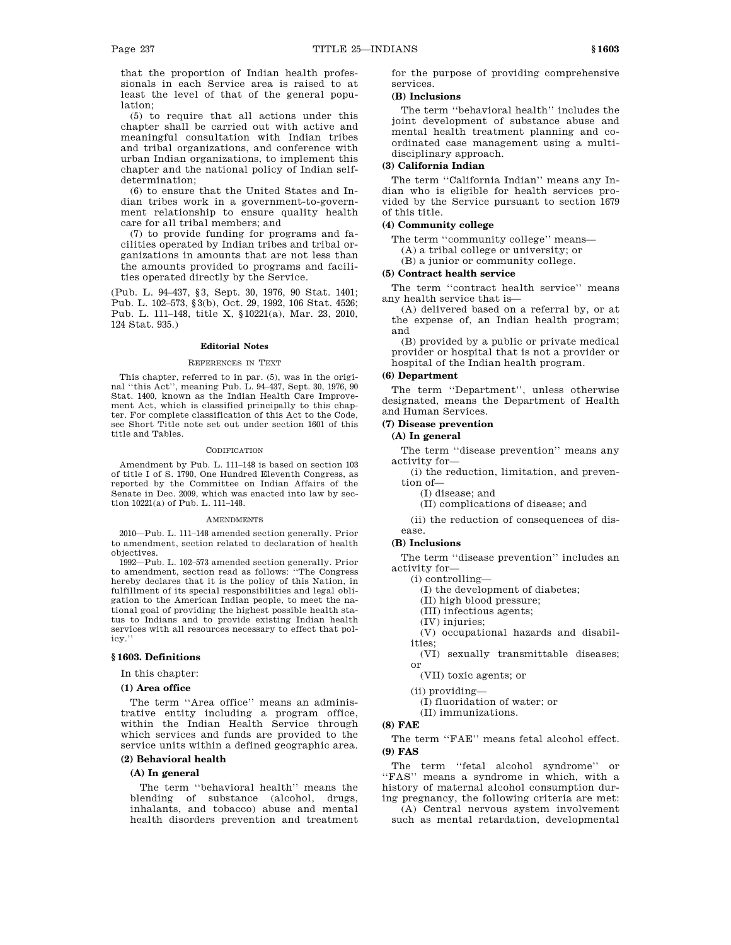that the proportion of Indian health professionals in each Service area is raised to at least the level of that of the general population;

(5) to require that all actions under this chapter shall be carried out with active and meaningful consultation with Indian tribes and tribal organizations, and conference with urban Indian organizations, to implement this chapter and the national policy of Indian selfdetermination;

(6) to ensure that the United States and Indian tribes work in a government-to-government relationship to ensure quality health care for all tribal members; and

(7) to provide funding for programs and facilities operated by Indian tribes and tribal organizations in amounts that are not less than the amounts provided to programs and facilities operated directly by the Service.

(Pub. L. 94–437, §3, Sept. 30, 1976, 90 Stat. 1401; Pub. L. 102–573, §3(b), Oct. 29, 1992, 106 Stat. 4526; Pub. L. 111–148, title X, §10221(a), Mar. 23, 2010, 124 Stat. 935.)

## **Editorial Notes**

#### REFERENCES IN TEXT

This chapter, referred to in par. (5), was in the original ''this Act'', meaning Pub. L. 94–437, Sept. 30, 1976, 90 Stat. 1400, known as the Indian Health Care Improvement Act, which is classified principally to this chapter. For complete classification of this Act to the Code, see Short Title note set out under section 1601 of this title and Tables.

#### **CODIFICATION**

Amendment by Pub. L. 111–148 is based on section 103 of title I of S. 1790, One Hundred Eleventh Congress, as reported by the Committee on Indian Affairs of the Senate in Dec. 2009, which was enacted into law by section 10221(a) of Pub. L. 111–148.

#### **AMENDMENTS**

2010—Pub. L. 111–148 amended section generally. Prior to amendment, section related to declaration of health objectives.

1992—Pub. L. 102–573 amended section generally. Prior to amendment, section read as follows: ''The Congress hereby declares that it is the policy of this Nation, in fulfillment of its special responsibilities and legal obligation to the American Indian people, to meet the national goal of providing the highest possible health status to Indians and to provide existing Indian health services with all resources necessary to effect that policy.''

## **§ 1603. Definitions**

In this chapter:

## **(1) Area office**

The term ''Area office'' means an administrative entity including a program office, within the Indian Health Service through which services and funds are provided to the service units within a defined geographic area.

# **(2) Behavioral health**

# **(A) In general**

The term ''behavioral health'' means the blending of substance (alcohol, drugs, inhalants, and tobacco) abuse and mental health disorders prevention and treatment for the purpose of providing comprehensive services.

# **(B) Inclusions**

The term ''behavioral health'' includes the joint development of substance abuse and mental health treatment planning and coordinated case management using a multidisciplinary approach.

## **(3) California Indian**

The term ''California Indian'' means any Indian who is eligible for health services provided by the Service pursuant to section 1679 of this title.

### **(4) Community college**

The term ''community college'' means—

(A) a tribal college or university; or

(B) a junior or community college.

# **(5) Contract health service**

The term ''contract health service'' means any health service that is—

(A) delivered based on a referral by, or at the expense of, an Indian health program; and

(B) provided by a public or private medical provider or hospital that is not a provider or hospital of the Indian health program.

# **(6) Department**

The term ''Department'', unless otherwise designated, means the Department of Health and Human Services.

#### **(7) Disease prevention**

## **(A) In general**

The term ''disease prevention'' means any activity for—

(i) the reduction, limitation, and prevention of—

(I) disease; and

(II) complications of disease; and

(ii) the reduction of consequences of disease.

## **(B) Inclusions**

The term ''disease prevention'' includes an activity for—

(i) controlling—

(I) the development of diabetes;

(II) high blood pressure;

(III) infectious agents;

(IV) injuries;

(V) occupational hazards and disabilities;

(VI) sexually transmittable diseases; or

(VII) toxic agents; or

(ii) providing—

(I) fluoridation of water; or

(II) immunizations.

# **(8) FAE**

The term ''FAE'' means fetal alcohol effect. **(9) FAS** 

The term ''fetal alcohol syndrome'' or ''FAS'' means a syndrome in which, with a history of maternal alcohol consumption during pregnancy, the following criteria are met:

(A) Central nervous system involvement such as mental retardation, developmental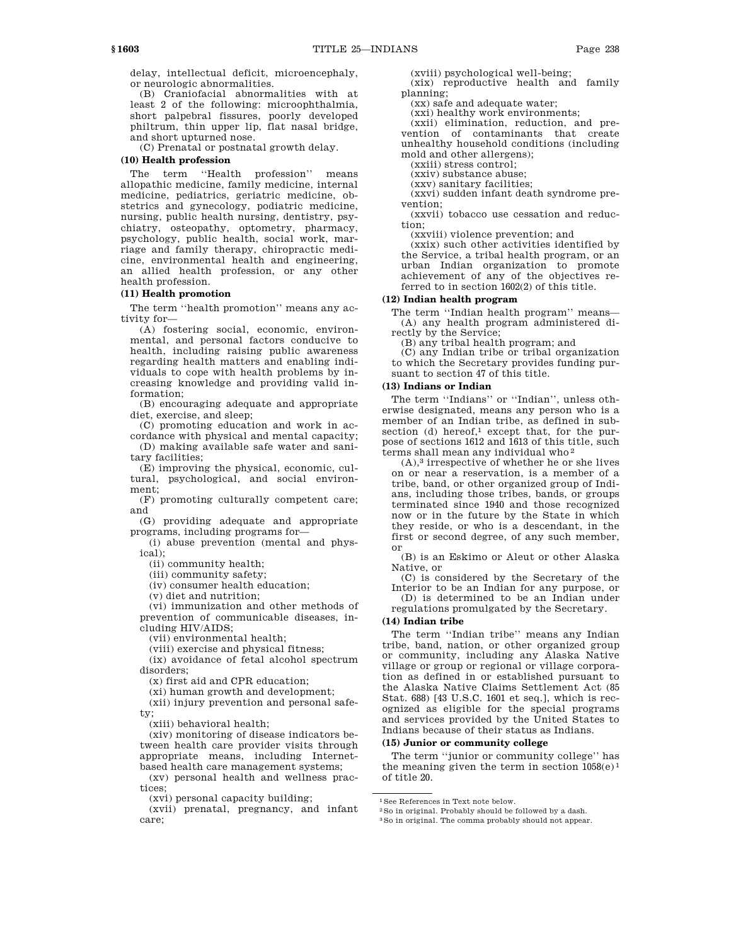delay, intellectual deficit, microencephaly, or neurologic abnormalities.

(B) Craniofacial abnormalities with at least 2 of the following: microophthalmia, short palpebral fissures, poorly developed philtrum, thin upper lip, flat nasal bridge, and short upturned nose.

(C) Prenatal or postnatal growth delay.

## **(10) Health profession**

The term ''Health profession'' means allopathic medicine, family medicine, internal medicine, pediatrics, geriatric medicine, obstetrics and gynecology, podiatric medicine, nursing, public health nursing, dentistry, psychiatry, osteopathy, optometry, pharmacy, psychology, public health, social work, marriage and family therapy, chiropractic medicine, environmental health and engineering, an allied health profession, or any other health profession.

# **(11) Health promotion**

The term ''health promotion'' means any activity for—

(A) fostering social, economic, environmental, and personal factors conducive to health, including raising public awareness regarding health matters and enabling individuals to cope with health problems by increasing knowledge and providing valid information;

(B) encouraging adequate and appropriate diet, exercise, and sleep;

(C) promoting education and work in accordance with physical and mental capacity;

(D) making available safe water and sanitary facilities;

(E) improving the physical, economic, cultural, psychological, and social environment;

(F) promoting culturally competent care; and

(G) providing adequate and appropriate programs, including programs for—

(i) abuse prevention (mental and physical);

(ii) community health;

(iii) community safety;

(iv) consumer health education;

(v) diet and nutrition;

(vi) immunization and other methods of prevention of communicable diseases, including HIV/AIDS;

(vii) environmental health;

(viii) exercise and physical fitness;

(ix) avoidance of fetal alcohol spectrum disorders;

(x) first aid and CPR education;

(xi) human growth and development;

(xii) injury prevention and personal safety;

(xiii) behavioral health;

(xiv) monitoring of disease indicators between health care provider visits through appropriate means, including Internetbased health care management systems;

(xv) personal health and wellness practices;

(xvi) personal capacity building;

(xvii) prenatal, pregnancy, and infant care;

(xviii) psychological well-being;

(xix) reproductive health and family planning;

(xx) safe and adequate water;

(xxi) healthy work environments;

(xxii) elimination, reduction, and prevention of contaminants that create unhealthy household conditions (including mold and other allergens);

(xxiii) stress control;

(xxiv) substance abuse;

(xxv) sanitary facilities; (xxvi) sudden infant death syndrome pre-

vention;

(xxvii) tobacco use cessation and reduction;

(xxviii) violence prevention; and

(xxix) such other activities identified by the Service, a tribal health program, or an urban Indian organization to promote achievement of any of the objectives referred to in section 1602(2) of this title.

## **(12) Indian health program**

The term ''Indian health program'' means— (A) any health program administered directly by the Service;

(B) any tribal health program; and

(C) any Indian tribe or tribal organization to which the Secretary provides funding pursuant to section 47 of this title.

## **(13) Indians or Indian**

The term ''Indians'' or ''Indian'', unless otherwise designated, means any person who is a member of an Indian tribe, as defined in subsection (d) hereof,<sup>1</sup> except that, for the purpose of sections 1612 and 1613 of this title, such terms shall mean any individual who 2

 $(A)$ ,<sup>3</sup> irrespective of whether he or she lives on or near a reservation, is a member of a tribe, band, or other organized group of Indians, including those tribes, bands, or groups terminated since 1940 and those recognized now or in the future by the State in which they reside, or who is a descendant, in the first or second degree, of any such member, or

(B) is an Eskimo or Aleut or other Alaska Native, or

(C) is considered by the Secretary of the Interior to be an Indian for any purpose, or (D) is determined to be an Indian under regulations promulgated by the Secretary.

# **(14) Indian tribe**

The term ''Indian tribe'' means any Indian tribe, band, nation, or other organized group or community, including any Alaska Native village or group or regional or village corporation as defined in or established pursuant to the Alaska Native Claims Settlement Act (85 Stat. 688) [43 U.S.C. 1601 et seq.], which is recognized as eligible for the special programs and services provided by the United States to Indians because of their status as Indians.

## **(15) Junior or community college**

The term ''junior or community college'' has the meaning given the term in section  $1058(e)^1$ of title 20.

1See References in Text note below.

<sup>2</sup>So in original. Probably should be followed by a dash.

<sup>3</sup>So in original. The comma probably should not appear.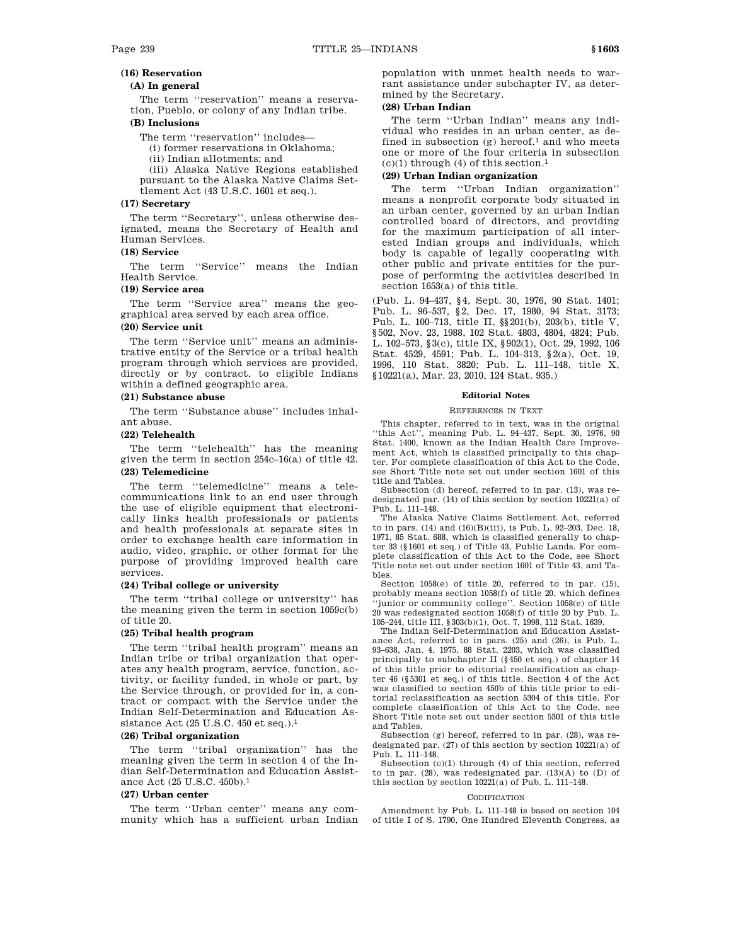# **(16) Reservation**

# **(A) In general**

The term ''reservation'' means a reservation, Pueblo, or colony of any Indian tribe.

# **(B) Inclusions**

The term "reservation" includes—

(i) former reservations in Oklahoma;

(ii) Indian allotments; and

(iii) Alaska Native Regions established pursuant to the Alaska Native Claims Settlement Act (43 U.S.C. 1601 et seq.).

# **(17) Secretary**

The term ''Secretary'', unless otherwise designated, means the Secretary of Health and Human Services.

# **(18) Service**

The term ''Service'' means the Indian Health Service.

# **(19) Service area**

The term "Service area" means the geographical area served by each area office.

# **(20) Service unit**

The term ''Service unit'' means an administrative entity of the Service or a tribal health program through which services are provided, directly or by contract, to eligible Indians within a defined geographic area.

## **(21) Substance abuse**

The term ''Substance abuse'' includes inhalant abuse.

## **(22) Telehealth**

The term ''telehealth'' has the meaning given the term in section 254c–16(a) of title 42. **(23) Telemedicine** 

The term "telemedicine" means a telecommunications link to an end user through the use of eligible equipment that electronically links health professionals or patients and health professionals at separate sites in order to exchange health care information in audio, video, graphic, or other format for the purpose of providing improved health care services.

#### **(24) Tribal college or university**

The term ''tribal college or university'' has the meaning given the term in section 1059c(b) of title 20.

#### **(25) Tribal health program**

The term ''tribal health program'' means an Indian tribe or tribal organization that operates any health program, service, function, activity, or facility funded, in whole or part, by the Service through, or provided for in, a contract or compact with the Service under the Indian Self-Determination and Education Assistance Act (25 U.S.C. 450 et seq.).1

### **(26) Tribal organization**

The term "tribal organization" has the meaning given the term in section 4 of the Indian Self-Determination and Education Assistance Act (25 U.S.C. 450b).1

# **(27) Urban center**

The term ''Urban center'' means any community which has a sufficient urban Indian population with unmet health needs to warrant assistance under subchapter IV, as determined by the Secretary.

## **(28) Urban Indian**

The term ''Urban Indian'' means any individual who resides in an urban center, as defined in subsection  $(g)$  hereof,<sup>1</sup> and who meets one or more of the four criteria in subsection  $(c)(1)$  through  $(4)$  of this section.<sup>1</sup>

# **(29) Urban Indian organization**

The term ''Urban Indian organization'' means a nonprofit corporate body situated in an urban center, governed by an urban Indian controlled board of directors, and providing for the maximum participation of all interested Indian groups and individuals, which body is capable of legally cooperating with other public and private entities for the purpose of performing the activities described in section 1653(a) of this title.

(Pub. L. 94–437, §4, Sept. 30, 1976, 90 Stat. 1401; Pub. L. 96–537, §2, Dec. 17, 1980, 94 Stat. 3173; Pub. L. 100–713, title II, §§201(b), 203(b), title V, §502, Nov. 23, 1988, 102 Stat. 4803, 4804, 4824; Pub. L. 102–573, §3(c), title IX, §902(1), Oct. 29, 1992, 106 Stat. 4529, 4591; Pub. L. 104–313, §2(a), Oct. 19, 1996, 110 Stat. 3820; Pub. L. 111–148, title X, §10221(a), Mar. 23, 2010, 124 Stat. 935.)

#### **Editorial Notes**

### REFERENCES IN TEXT

This chapter, referred to in text, was in the original ''this Act'', meaning Pub. L. 94–437, Sept. 30, 1976, 90 Stat. 1400, known as the Indian Health Care Improvement Act, which is classified principally to this chapter. For complete classification of this Act to the Code, see Short Title note set out under section 1601 of this title and Tables.

Subsection (d) hereof, referred to in par. (13), was redesignated par. (14) of this section by section 10221(a) of Pub. L. 111–148.

The Alaska Native Claims Settlement Act, referred to in pars. (14) and (16)(B)(iii), is Pub. L. 92–203, Dec. 18, 1971, 85 Stat. 688, which is classified generally to chapter 33 (§1601 et seq.) of Title 43, Public Lands. For complete classification of this Act to the Code, see Short Title note set out under section 1601 of Title 43, and Tables.

Section 1058(e) of title 20, referred to in par. (15), probably means section 1058(f) of title 20, which defines ''junior or community college''. Section 1058(e) of title 20 was redesignated section 1058(f) of title 20 by Pub. L. 105–244, title III, §303(b)(1), Oct. 7, 1998, 112 Stat. 1639.

The Indian Self-Determination and Education Assistance Act, referred to in pars. (25) and (26), is Pub. L. 93–638, Jan. 4, 1975, 88 Stat. 2203, which was classified principally to subchapter II (§450 et seq.) of chapter 14 of this title prior to editorial reclassification as chapter 46 (§5301 et seq.) of this title. Section 4 of the Act was classified to section 450b of this title prior to editorial reclassification as section 5304 of this title. For complete classification of this Act to the Code, see Short Title note set out under section 5301 of this title and Tables.

Subsection (g) hereof, referred to in par. (28), was redesignated par.  $\left( 27\right)$  of this section by section 10221(a) of Pub. L. 111–148.

Subsection (c)(1) through (4) of this section, referred to in par.  $(28)$ , was redesignated par.  $(13)(A)$  to  $(D)$  of this section by section 10221(a) of Pub. L. 111–148.

#### CODIFICATION

Amendment by Pub. L. 111–148 is based on section 104 of title I of S. 1790, One Hundred Eleventh Congress, as